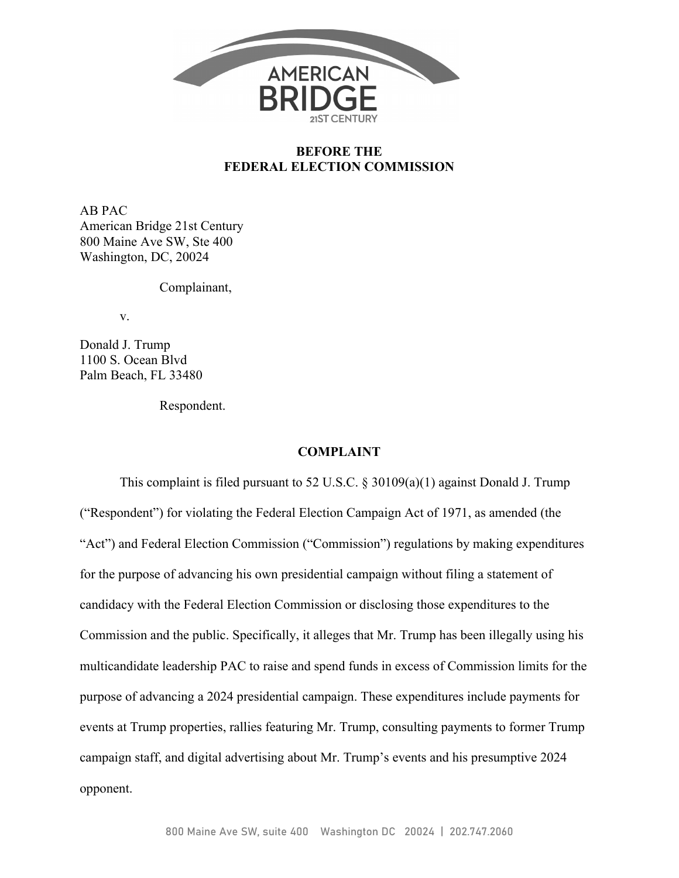

### **BEFORE THE FEDERAL ELECTION COMMISSION**

AB PAC American Bridge 21st Century 800 Maine Ave SW, Ste 400 Washington, DC, 20024

Complainant,

v.

Donald J. Trump 1100 S. Ocean Blvd Palm Beach, FL 33480

Respondent.

#### **COMPLAINT**

This complaint is filed pursuant to 52 U.S.C. § 30109(a)(1) against Donald J. Trump ("Respondent") for violating the Federal Election Campaign Act of 1971, as amended (the "Act") and Federal Election Commission ("Commission") regulations by making expenditures for the purpose of advancing his own presidential campaign without filing a statement of candidacy with the Federal Election Commission or disclosing those expenditures to the Commission and the public. Specifically, it alleges that Mr. Trump has been illegally using his multicandidate leadership PAC to raise and spend funds in excess of Commission limits for the purpose of advancing a 2024 presidential campaign. These expenditures include payments for events at Trump properties, rallies featuring Mr. Trump, consulting payments to former Trump campaign staff, and digital advertising about Mr. Trump's events and his presumptive 2024 opponent.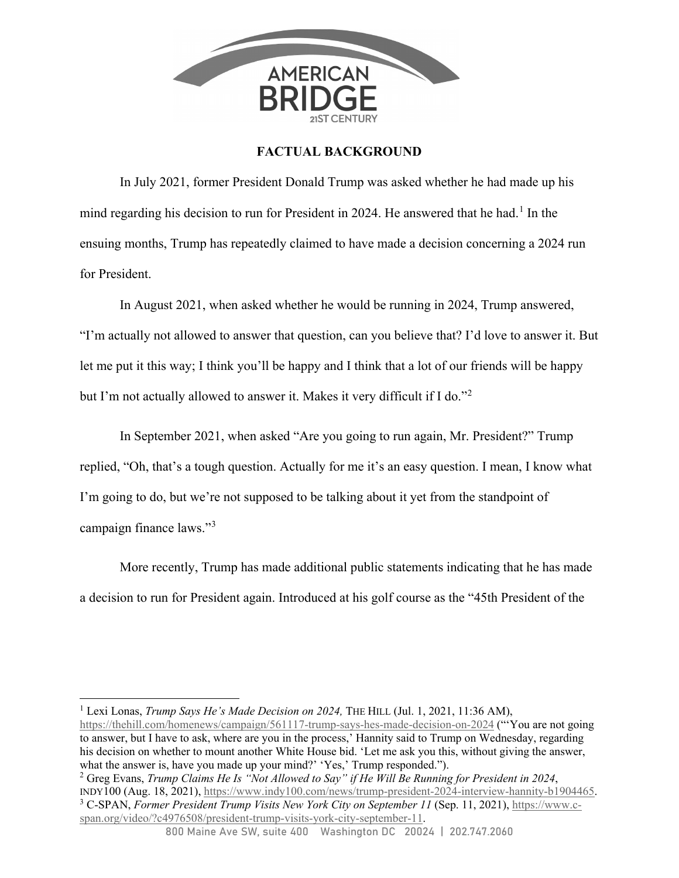

## **FACTUAL BACKGROUND**

In July 2021, former President Donald Trump was asked whether he had made up his mind regarding his decision to run for President in 2024. He answered that he had.<sup>1</sup> In the ensuing months, Trump has repeatedly claimed to have made a decision concerning a 2024 run for President.

 In August 2021, when asked whether he would be running in 2024, Trump answered, "I'm actually not allowed to answer that question, can you believe that? I'd love to answer it. But let me put it this way; I think you'll be happy and I think that a lot of our friends will be happy but I'm not actually allowed to answer it. Makes it very difficult if I do."<sup>2</sup>

In September 2021, when asked "Are you going to run again, Mr. President?" Trump replied, "Oh, that's a tough question. Actually for me it's an easy question. I mean, I know what I'm going to do, but we're not supposed to be talking about it yet from the standpoint of campaign finance laws."<sup>3</sup>

More recently, Trump has made additional public statements indicating that he has made a decision to run for President again. Introduced at his golf course as the "45th President of the

<sup>1</sup> Lexi Lonas, *Trump Says He's Made Decision on 2024*, THE HILL (Jul. 1, 2021, 11:36 AM), https://thehill.com/homenews/campaign/561117-trump-says-hes-made-decision-on-2024 ("'You are not going to answer, but I have to ask, where are you in the process,' Hannity said to Trump on Wednesday, regarding his decision on whether to mount another White House bid. 'Let me ask you this, without giving the answer, what the answer is, have you made up your mind?' 'Yes,' Trump responded.").

2 Greg Evans, *Trump Claims He Is "Not Allowed to Say" if He Will Be Running for President in 2024*, INDY100 (Aug. 18, 2021), https://www.indy100.com/news/trump-president-2024-interview-hannity-b1904465. 3 C-SPAN, *Former President Trump Visits New York City on September 11* (Sep. 11, 2021), https://www.cspan.org/video/?c4976508/president-trump-visits-york-city-september-11.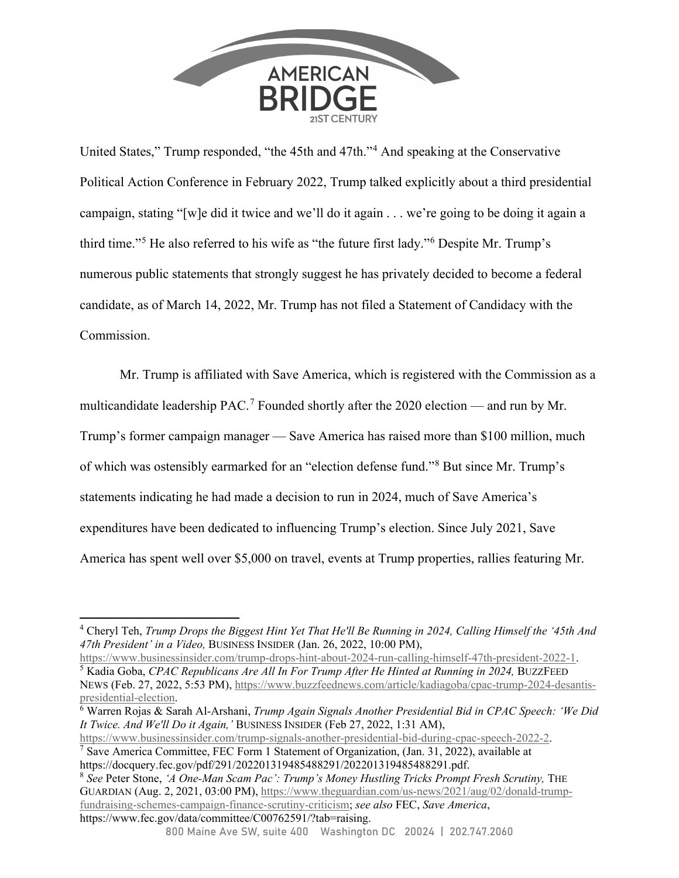

United States," Trump responded, "the 45th and 47th."<sup>4</sup> And speaking at the Conservative Political Action Conference in February 2022, Trump talked explicitly about a third presidential campaign, stating "[w]e did it twice and we'll do it again . . . we're going to be doing it again a third time."<sup>5</sup> He also referred to his wife as "the future first lady."<sup>6</sup> Despite Mr. Trump's numerous public statements that strongly suggest he has privately decided to become a federal candidate, as of March 14, 2022, Mr. Trump has not filed a Statement of Candidacy with the Commission.

Mr. Trump is affiliated with Save America, which is registered with the Commission as a multicandidate leadership PAC.<sup>7</sup> Founded shortly after the 2020 election — and run by Mr. Trump's former campaign manager — Save America has raised more than \$100 million, much of which was ostensibly earmarked for an "election defense fund."<sup>8</sup> But since Mr. Trump's statements indicating he had made a decision to run in 2024, much of Save America's expenditures have been dedicated to influencing Trump's election. Since July 2021, Save America has spent well over \$5,000 on travel, events at Trump properties, rallies featuring Mr.

https://www.businessinsider.com/trump-signals-another-presidential-bid-during-cpac-speech-2022-2. <sup>7</sup> Save America Committee, FEC Form 1 Statement of Organization, (Jan. 31, 2022), available at

https://docquery.fec.gov/pdf/291/202201319485488291/202201319485488291.pdf.

<sup>8</sup> *See* Peter Stone, *'A One-Man Scam Pac': Trump's Money Hustling Tricks Prompt Fresh Scrutiny,* THE GUARDIAN (Aug. 2, 2021, 03:00 PM), https://www.theguardian.com/us-news/2021/aug/02/donald-trumpfundraising-schemes-campaign-finance-scrutiny-criticism; *see also* FEC, *Save America*, https://www.fec.gov/data/committee/C00762591/?tab=raising.

<sup>4</sup> Cheryl Teh, *Trump Drops the Biggest Hint Yet That He'll Be Running in 2024, Calling Himself the '45th And 47th President' in a Video,* BUSINESS INSIDER (Jan. 26, 2022, 10:00 PM),

https://www.businessinsider.com/trump-drops-hint-about-2024-run-calling-himself-47th-president-2022-1. 5 <sup>5</sup> Kadia Goba, *CPAC Republicans Are All In For Trump After He Hinted at Running in 2024*, BUZZFEED NEWS (Feb. 27, 2022, 5:53 PM), https://www.buzzfeednews.com/article/kadiagoba/cpac-trump-2024-desantispresidential-election. 6

Warren Rojas & Sarah Al-Arshani, *Trump Again Signals Another Presidential Bid in CPAC Speech: 'We Did It Twice. And We'll Do it Again,'* BUSINESS INSIDER (Feb 27, 2022, 1:31 AM),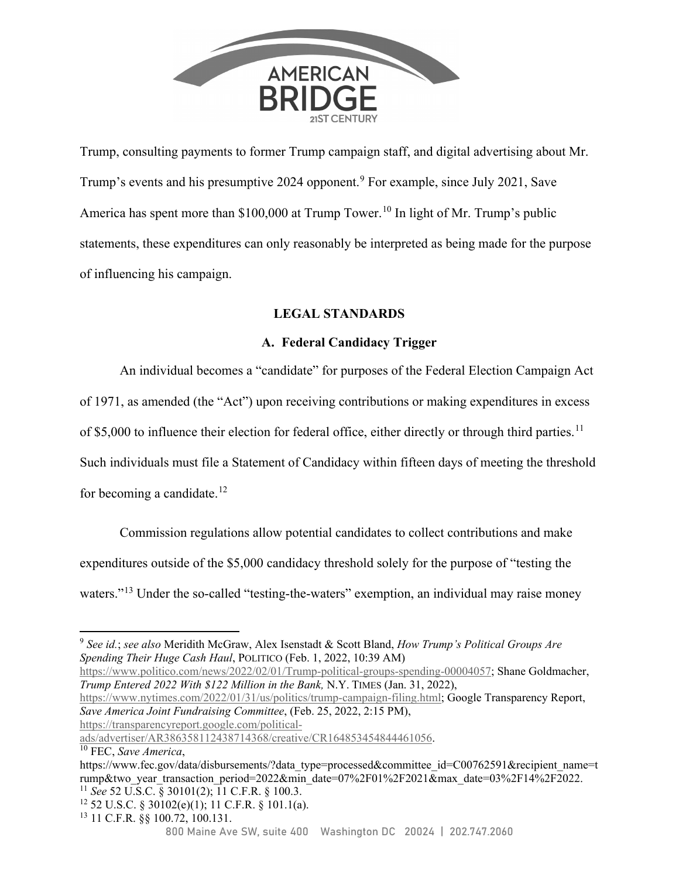

Trump, consulting payments to former Trump campaign staff, and digital advertising about Mr. Trump's events and his presumptive 2024 opponent.<sup>9</sup> For example, since July 2021, Save America has spent more than  $$100,000$  at Trump Tower.<sup>10</sup> In light of Mr. Trump's public statements, these expenditures can only reasonably be interpreted as being made for the purpose of influencing his campaign.

# **LEGAL STANDARDS**

### **A. Federal Candidacy Trigger**

An individual becomes a "candidate" for purposes of the Federal Election Campaign Act

of 1971, as amended (the "Act") upon receiving contributions or making expenditures in excess

of \$5,000 to influence their election for federal office, either directly or through third parties.<sup>11</sup>

Such individuals must file a Statement of Candidacy within fifteen days of meeting the threshold for becoming a candidate.<sup>12</sup>

Commission regulations allow potential candidates to collect contributions and make expenditures outside of the \$5,000 candidacy threshold solely for the purpose of "testing the waters."<sup>13</sup> Under the so-called "testing-the-waters" exemption, an individual may raise money

https://www.politico.com/news/2022/02/01/Trump-political-groups-spending-00004057; Shane Goldmacher, *Trump Entered 2022 With \$122 Million in the Bank,* N.Y. TIMES (Jan. 31, 2022),

https://www.nytimes.com/2022/01/31/us/politics/trump-campaign-filing.html; Google Transparency Report, *Save America Joint Fundraising Committee*, (Feb. 25, 2022, 2:15 PM), https://transparencyreport.google.com/political-

ads/advertiser/AR386358112438714368/creative/CR164853454844461056. 10 FEC, *Save America*,

 $12$  52 U.S.C. § 30102(e)(1); 11 C.F.R. § 101.1(a).

<sup>9</sup> *See id.*; *see also* Meridith McGraw, Alex Isenstadt & Scott Bland, *How Trump's Political Groups Are Spending Their Huge Cash Haul*, POLITICO (Feb. 1, 2022, 10:39 AM)

https://www.fec.gov/data/disbursements/?data\_type=processed&committee\_id=C00762591&recipient\_name=t rump&two\_year\_transaction\_period=2022&min\_date=07%2F01%2F2021&max\_date=03%2F14%2F2022. <sup>11</sup> *See* 52 U.S.C. § 30101(2); 11 C.F.R. § 100.3.

<sup>13 11</sup> C.F.R. §§ 100.72, 100.131.

<sup>800</sup> Maine Ave SW, suite 400 Washington DC 20024 | 202.747.2060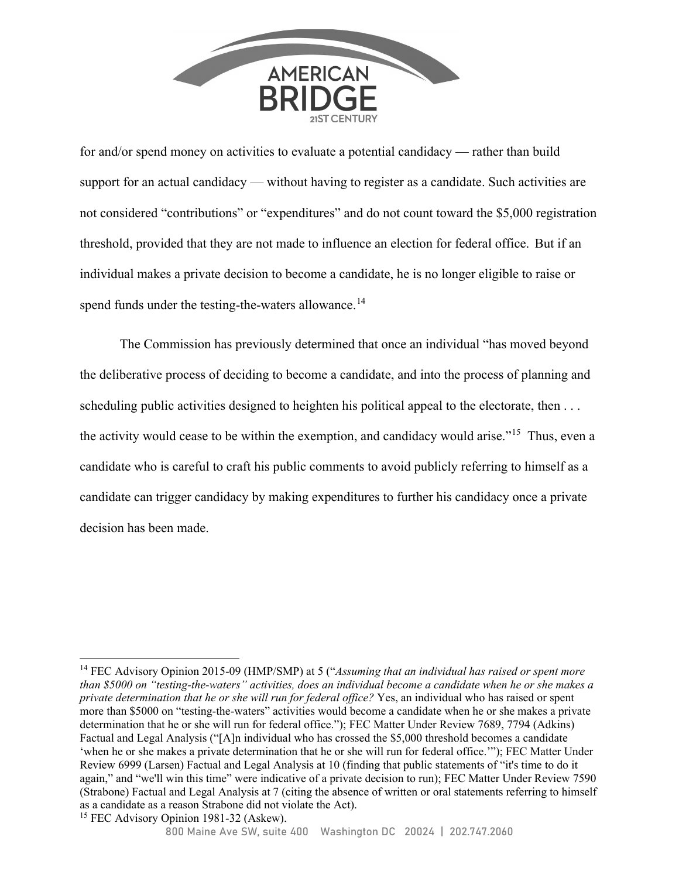

for and/or spend money on activities to evaluate a potential candidacy — rather than build support for an actual candidacy — without having to register as a candidate. Such activities are not considered "contributions" or "expenditures" and do not count toward the \$5,000 registration threshold, provided that they are not made to influence an election for federal office. But if an individual makes a private decision to become a candidate, he is no longer eligible to raise or spend funds under the testing-the-waters allowance.<sup>14</sup>

The Commission has previously determined that once an individual "has moved beyond the deliberative process of deciding to become a candidate, and into the process of planning and scheduling public activities designed to heighten his political appeal to the electorate, then ... the activity would cease to be within the exemption, and candidacy would arise."<sup>15</sup> Thus, even a candidate who is careful to craft his public comments to avoid publicly referring to himself as a candidate can trigger candidacy by making expenditures to further his candidacy once a private decision has been made.

<sup>14</sup> FEC Advisory Opinion 2015-09 (HMP/SMP) at 5 ("*Assuming that an individual has raised or spent more than \$5000 on "testing-the-waters" activities, does an individual become a candidate when he or she makes a private determination that he or she will run for federal office?* Yes, an individual who has raised or spent more than \$5000 on "testing-the-waters" activities would become a candidate when he or she makes a private determination that he or she will run for federal office."); FEC Matter Under Review 7689, 7794 (Adkins) Factual and Legal Analysis ("[A]n individual who has crossed the \$5,000 threshold becomes a candidate 'when he or she makes a private determination that he or she will run for federal office.'"); FEC Matter Under Review 6999 (Larsen) Factual and Legal Analysis at 10 (finding that public statements of "it's time to do it again," and "we'll win this time" were indicative of a private decision to run); FEC Matter Under Review 7590 (Strabone) Factual and Legal Analysis at 7 (citing the absence of written or oral statements referring to himself as a candidate as a reason Strabone did not violate the Act).

<sup>&</sup>lt;sup>15</sup> FEC Advisory Opinion 1981-32 (Askew).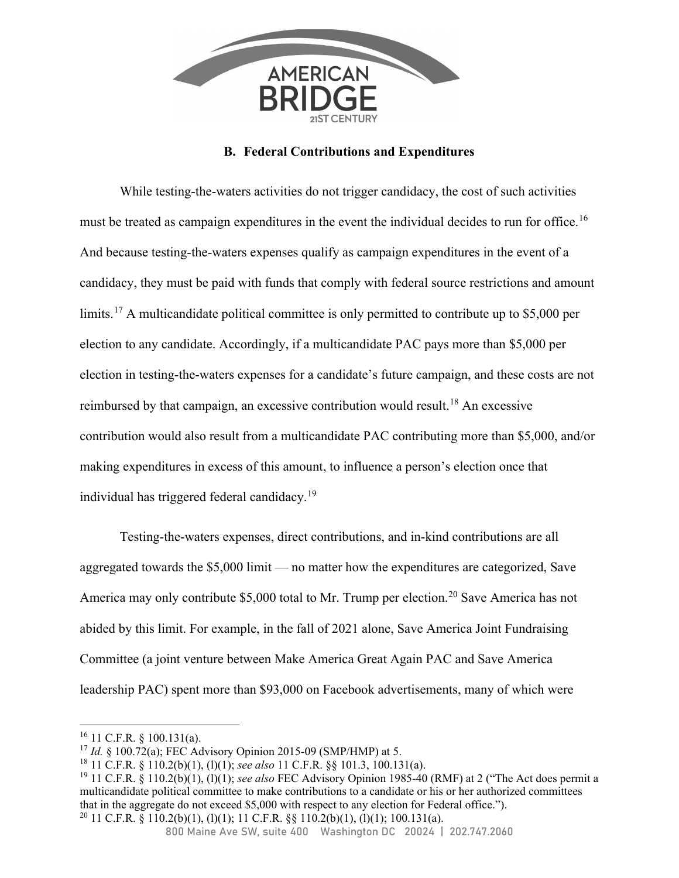

## **B. Federal Contributions and Expenditures**

While testing-the-waters activities do not trigger candidacy, the cost of such activities must be treated as campaign expenditures in the event the individual decides to run for office.<sup>16</sup> And because testing-the-waters expenses qualify as campaign expenditures in the event of a candidacy, they must be paid with funds that comply with federal source restrictions and amount limits.<sup>17</sup> A multicandidate political committee is only permitted to contribute up to \$5,000 per election to any candidate. Accordingly, if a multicandidate PAC pays more than \$5,000 per election in testing-the-waters expenses for a candidate's future campaign, and these costs are not reimbursed by that campaign, an excessive contribution would result.18 An excessive contribution would also result from a multicandidate PAC contributing more than \$5,000, and/or making expenditures in excess of this amount, to influence a person's election once that individual has triggered federal candidacy.19

Testing-the-waters expenses, direct contributions, and in-kind contributions are all aggregated towards the \$5,000 limit — no matter how the expenditures are categorized, Save America may only contribute \$5,000 total to Mr. Trump per election.<sup>20</sup> Save America has not abided by this limit. For example, in the fall of 2021 alone, Save America Joint Fundraising Committee (a joint venture between Make America Great Again PAC and Save America leadership PAC) spent more than \$93,000 on Facebook advertisements, many of which were

 $16$  11 C.F.R. § 100.131(a).

<sup>17</sup> *Id.* § 100.72(a); FEC Advisory Opinion 2015-09 (SMP/HMP) at 5.

<sup>18 11</sup> C.F.R. § 110.2(b)(1), (l)(1); *see also* 11 C.F.R. §§ 101.3, 100.131(a).

<sup>19 11</sup> C.F.R. § 110.2(b)(1), (l)(1); *see also* FEC Advisory Opinion 1985-40 (RMF) at 2 ("The Act does permit a multicandidate political committee to make contributions to a candidate or his or her authorized committees that in the aggregate do not exceed \$5,000 with respect to any election for Federal office."). <sup>20</sup> 11 C.F.R. § 110.2(b)(1), (l)(1); 11 C.F.R. §§ 110.2(b)(1), (l)(1); 100.131(a).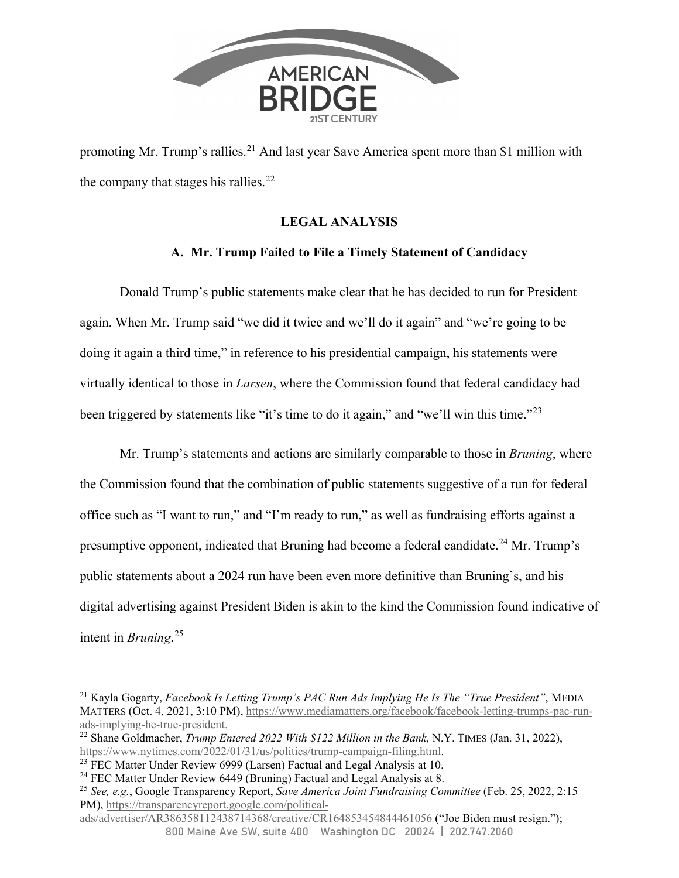

promoting Mr. Trump's rallies.<sup>21</sup> And last year Save America spent more than \$1 million with the company that stages his rallies. $^{22}$ 

# **LEGAL ANALYSIS**

# **A. Mr. Trump Failed to File a Timely Statement of Candidacy**

 Donald Trump's public statements make clear that he has decided to run for President again. When Mr. Trump said "we did it twice and we'll do it again" and "we're going to be doing it again a third time," in reference to his presidential campaign, his statements were virtually identical to those in *Larsen*, where the Commission found that federal candidacy had been triggered by statements like "it's time to do it again," and "we'll win this time."<sup>23</sup>

 Mr. Trump's statements and actions are similarly comparable to those in *Bruning*, where the Commission found that the combination of public statements suggestive of a run for federal office such as "I want to run," and "I'm ready to run," as well as fundraising efforts against a presumptive opponent, indicated that Bruning had become a federal candidate.<sup>24</sup> Mr. Trump's public statements about a 2024 run have been even more definitive than Bruning's, and his digital advertising against President Biden is akin to the kind the Commission found indicative of intent in *Bruning*. 25

800 Maine Ave SW, suite 400 Washington DC 20024 | 202.747.2060 ads/advertiser/AR386358112438714368/creative/CR164853454844461056 ("Joe Biden must resign.");

<sup>21</sup> Kayla Gogarty, *Facebook Is Letting Trump's PAC Run Ads Implying He Is The "True President"*, MEDIA MATTERS (Oct. 4, 2021, 3:10 PM), https://www.mediamatters.org/facebook/facebook-letting-trumps-pac-runads-implying-he-true-president.

<sup>&</sup>lt;sup>22</sup> Shane Goldmacher, *Trump Entered 2022 With \$122 Million in the Bank*, N.Y. TIMES (Jan. 31, 2022), https://www.nytimes.com/2022/01/31/us/politics/trump-campaign-filing.html.

 $\frac{23}{23}$  FEC Matter Under Review 6999 (Larsen) Factual and Legal Analysis at 10.

<sup>&</sup>lt;sup>24</sup> FEC Matter Under Review 6449 (Bruning) Factual and Legal Analysis at 8.

<sup>25</sup> *See, e.g.*, Google Transparency Report, *Save America Joint Fundraising Committee* (Feb. 25, 2022, 2:15 PM), https://transparencyreport.google.com/political-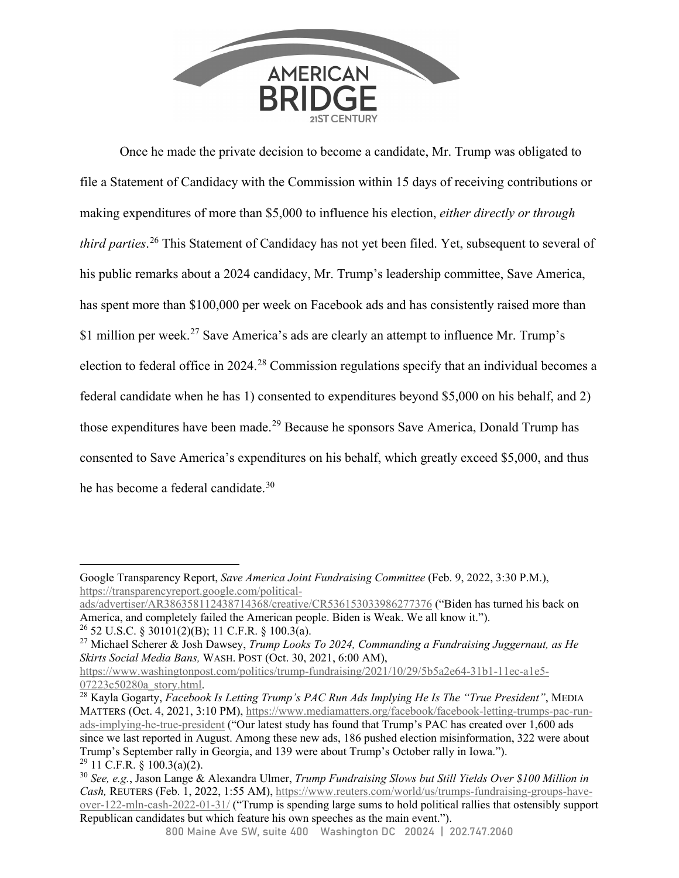

Once he made the private decision to become a candidate, Mr. Trump was obligated to file a Statement of Candidacy with the Commission within 15 days of receiving contributions or making expenditures of more than \$5,000 to influence his election, *either directly or through third parties*. 26 This Statement of Candidacy has not yet been filed. Yet, subsequent to several of his public remarks about a 2024 candidacy, Mr. Trump's leadership committee, Save America, has spent more than \$100,000 per week on Facebook ads and has consistently raised more than \$1 million per week.<sup>27</sup> Save America's ads are clearly an attempt to influence Mr. Trump's election to federal office in 2024.<sup>28</sup> Commission regulations specify that an individual becomes a federal candidate when he has 1) consented to expenditures beyond \$5,000 on his behalf, and 2) those expenditures have been made.<sup>29</sup> Because he sponsors Save America, Donald Trump has consented to Save America's expenditures on his behalf, which greatly exceed \$5,000, and thus he has become a federal candidate.<sup>30</sup>

Google Transparency Report, *Save America Joint Fundraising Committee* (Feb. 9, 2022, 3:30 P.M.), https://transparencyreport.google.com/political-

ads/advertiser/AR386358112438714368/creative/CR536153033986277376 ("Biden has turned his back on America, and completely failed the American people. Biden is Weak. We all know it.").

 $26$  52 U.S.C. § 30101(2)(B); 11 C.F.R. § 100.3(a).

<sup>27</sup> Michael Scherer & Josh Dawsey, *Trump Looks To 2024, Commanding a Fundraising Juggernaut, as He Skirts Social Media Bans,* WASH. POST (Oct. 30, 2021, 6:00 AM),

https://www.washingtonpost.com/politics/trump-fundraising/2021/10/29/5b5a2e64-31b1-11ec-a1e5-<br>07223c50280a story.html.

<sup>&</sup>lt;sup>28</sup> Kayla Gogarty, *Facebook Is Letting Trump's PAC Run Ads Implying He Is The "True President"*, MEDIA MATTERS (Oct. 4, 2021, 3:10 PM), https://www.mediamatters.org/facebook/facebook-letting-trumps-pac-runads-implying-he-true-president ("Our latest study has found that Trump's PAC has created over 1,600 ads since we last reported in August. Among these new ads, 186 pushed election misinformation, 322 were about Trump's September rally in Georgia, and 139 were about Trump's October rally in Iowa.").  $29$  11 C.F.R. § 100.3(a)(2).

<sup>30</sup> *See, e.g.*, Jason Lange & Alexandra Ulmer, *Trump Fundraising Slows but Still Yields Over \$100 Million in Cash,* REUTERS (Feb. 1, 2022, 1:55 AM), https://www.reuters.com/world/us/trumps-fundraising-groups-haveover-122-mln-cash-2022-01-31/ ("Trump is spending large sums to hold political rallies that ostensibly support Republican candidates but which feature his own speeches as the main event.").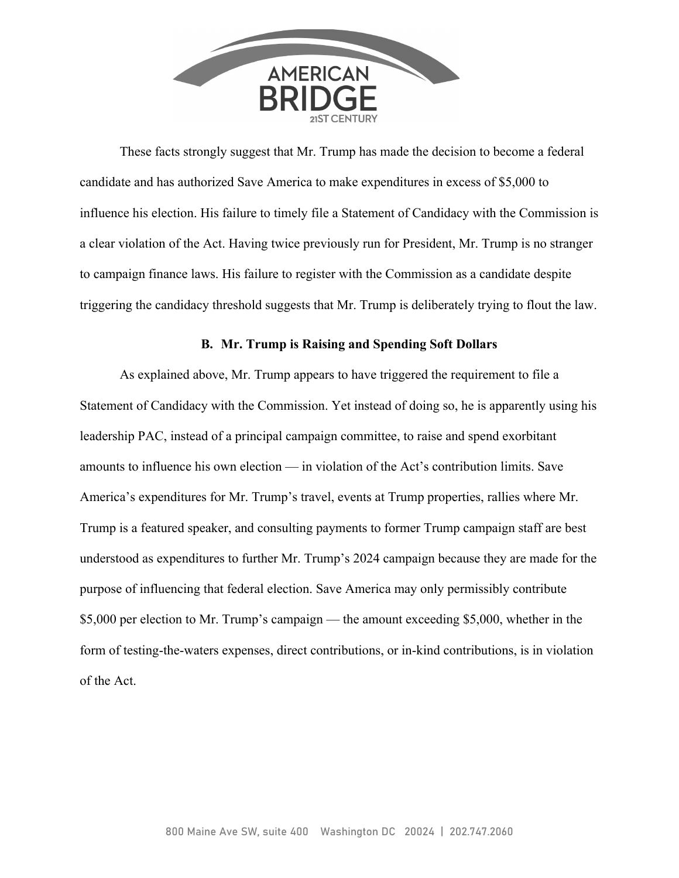

These facts strongly suggest that Mr. Trump has made the decision to become a federal candidate and has authorized Save America to make expenditures in excess of \$5,000 to influence his election. His failure to timely file a Statement of Candidacy with the Commission is a clear violation of the Act. Having twice previously run for President, Mr. Trump is no stranger to campaign finance laws. His failure to register with the Commission as a candidate despite triggering the candidacy threshold suggests that Mr. Trump is deliberately trying to flout the law.

#### **B. Mr. Trump is Raising and Spending Soft Dollars**

As explained above, Mr. Trump appears to have triggered the requirement to file a Statement of Candidacy with the Commission. Yet instead of doing so, he is apparently using his leadership PAC, instead of a principal campaign committee, to raise and spend exorbitant amounts to influence his own election — in violation of the Act's contribution limits. Save America's expenditures for Mr. Trump's travel, events at Trump properties, rallies where Mr. Trump is a featured speaker, and consulting payments to former Trump campaign staff are best understood as expenditures to further Mr. Trump's 2024 campaign because they are made for the purpose of influencing that federal election. Save America may only permissibly contribute \$5,000 per election to Mr. Trump's campaign — the amount exceeding \$5,000, whether in the form of testing-the-waters expenses, direct contributions, or in-kind contributions, is in violation of the Act.